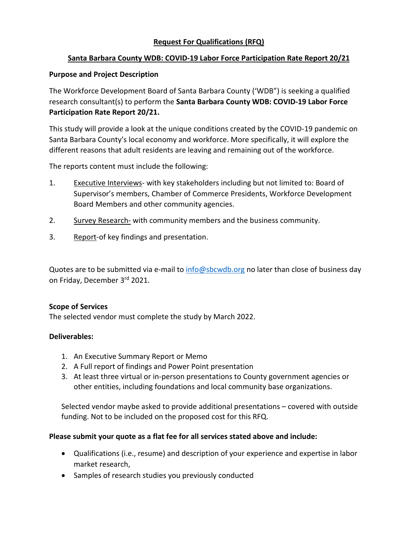# **Request For Qualifications (RFQ)**

# **Santa Barbara County WDB: COVID-19 Labor Force Participation Rate Report 20/21**

### **Purpose and Project Description**

The Workforce Development Board of Santa Barbara County ('WDB") is seeking a qualified research consultant(s) to perform the **Santa Barbara County WDB: COVID-19 Labor Force Participation Rate Report 20/21.** 

This study will provide a look at the unique conditions created by the COVID-19 pandemic on Santa Barbara County's local economy and workforce. More specifically, it will explore the different reasons that adult residents are leaving and remaining out of the workforce.

The reports content must include the following:

- 1. Executive Interviews- with key stakeholders including but not limited to: Board of Supervisor's members, Chamber of Commerce Presidents, Workforce Development Board Members and other community agencies.
- 2. Survey Research- with community members and the business community.
- 3. Report-of key findings and presentation.

Quotes are to be submitted via e-mail to [info@sbcwdb.org](mailto:info@sbcwdb.org) no later than close of business day on Friday, December 3rd 2021.

### **Scope of Services**

The selected vendor must complete the study by March 2022.

### **Deliverables:**

- 1. An Executive Summary Report or Memo
- 2. A Full report of findings and Power Point presentation
- 3. At least three virtual or in-person presentations to County government agencies or other entities, including foundations and local community base organizations.

Selected vendor maybe asked to provide additional presentations – covered with outside funding. Not to be included on the proposed cost for this RFQ.

### **Please submit your quote as a flat fee for all services stated above and include:**

- Qualifications (i.e., resume) and description of your experience and expertise in labor market research,
- Samples of research studies you previously conducted